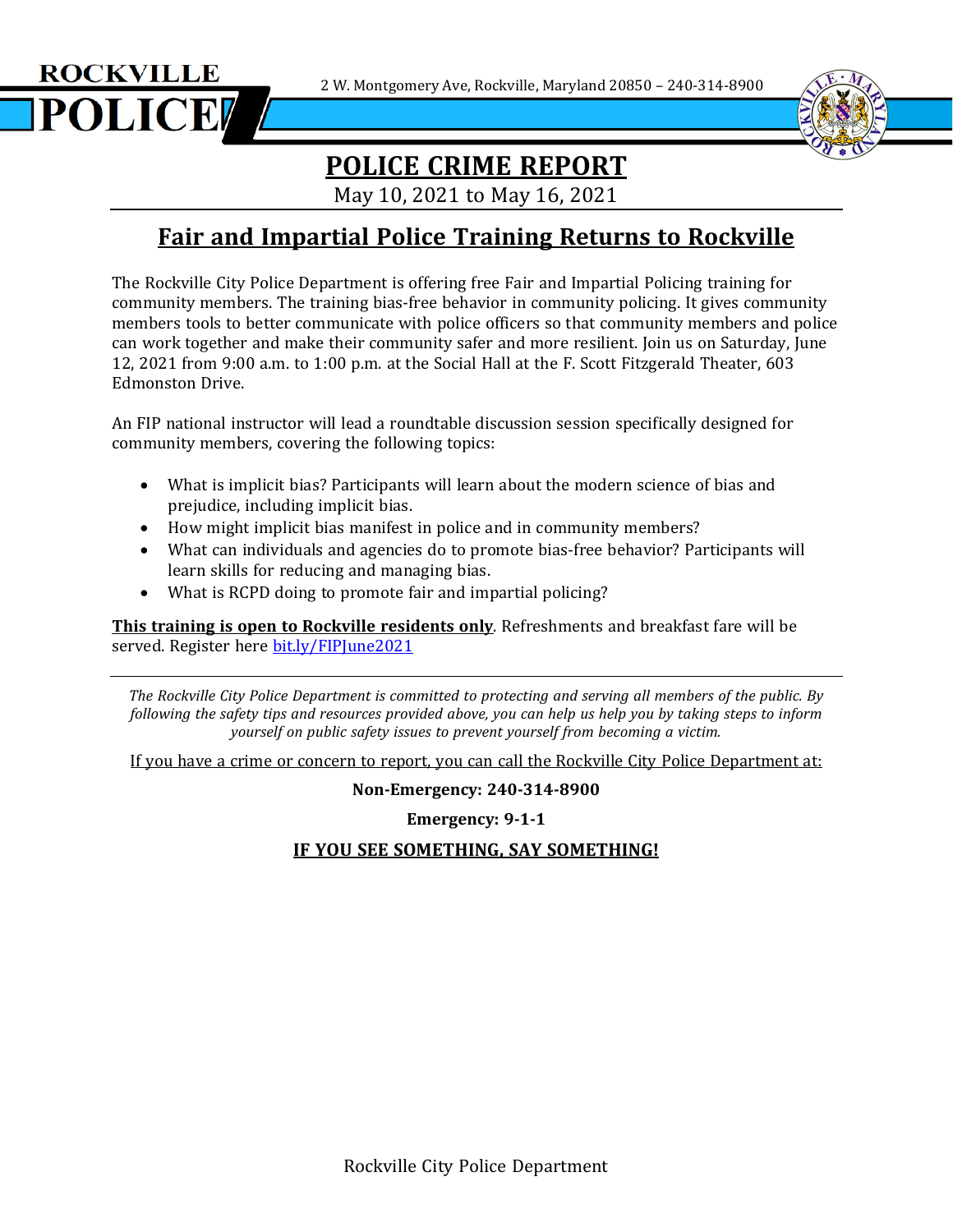2 W. Montgomery Ave, Rockville, Maryland 20850 – 240-314-8900



# **POLICE CRIME REPORT**

May 10, 2021 to May 16, 2021

### **Fair and Impartial Police Training Returns to Rockville**

The Rockville City Police Department is offering free Fair and Impartial Policing training for community members. The training bias-free behavior in community policing. It gives community members tools to better communicate with police officers so that community members and police can work together and make their community safer and more resilient. Join us on Saturday, June 12, 2021 from 9:00 a.m. to 1:00 p.m. at the Social Hall at the F. Scott Fitzgerald Theater, 603 Edmonston Drive.

An FIP national instructor will lead a roundtable discussion session specifically designed for community members, covering the following topics:

- What is implicit bias? Participants will learn about the modern science of bias and prejudice, including implicit bias.
- How might implicit bias manifest in police and in community members?
- What can individuals and agencies do to promote bias-free behavior? Participants will learn skills for reducing and managing bias.
- What is RCPD doing to promote fair and impartial policing?

**ROCKVILLE** 

POLICE

**This training is open to Rockville residents only**. Refreshments and breakfast fare will be served. Register here [bit.ly/FIPJune2021](http://bit.ly/FIPJune2021)

*The Rockville City Police Department is committed to protecting and serving all members of the public. By* following the safety tips and resources provided above, you can help us help you by taking steps to inform *yourself on public safety issues to prevent yourself from becoming a victim.*

If you have a crime or concern to report, you can call the Rockville City Police Department at:

**Non-Emergency: 240-314-8900**

**Emergency: 9-1-1**

### **IF YOU SEE SOMETHING, SAY SOMETHING!**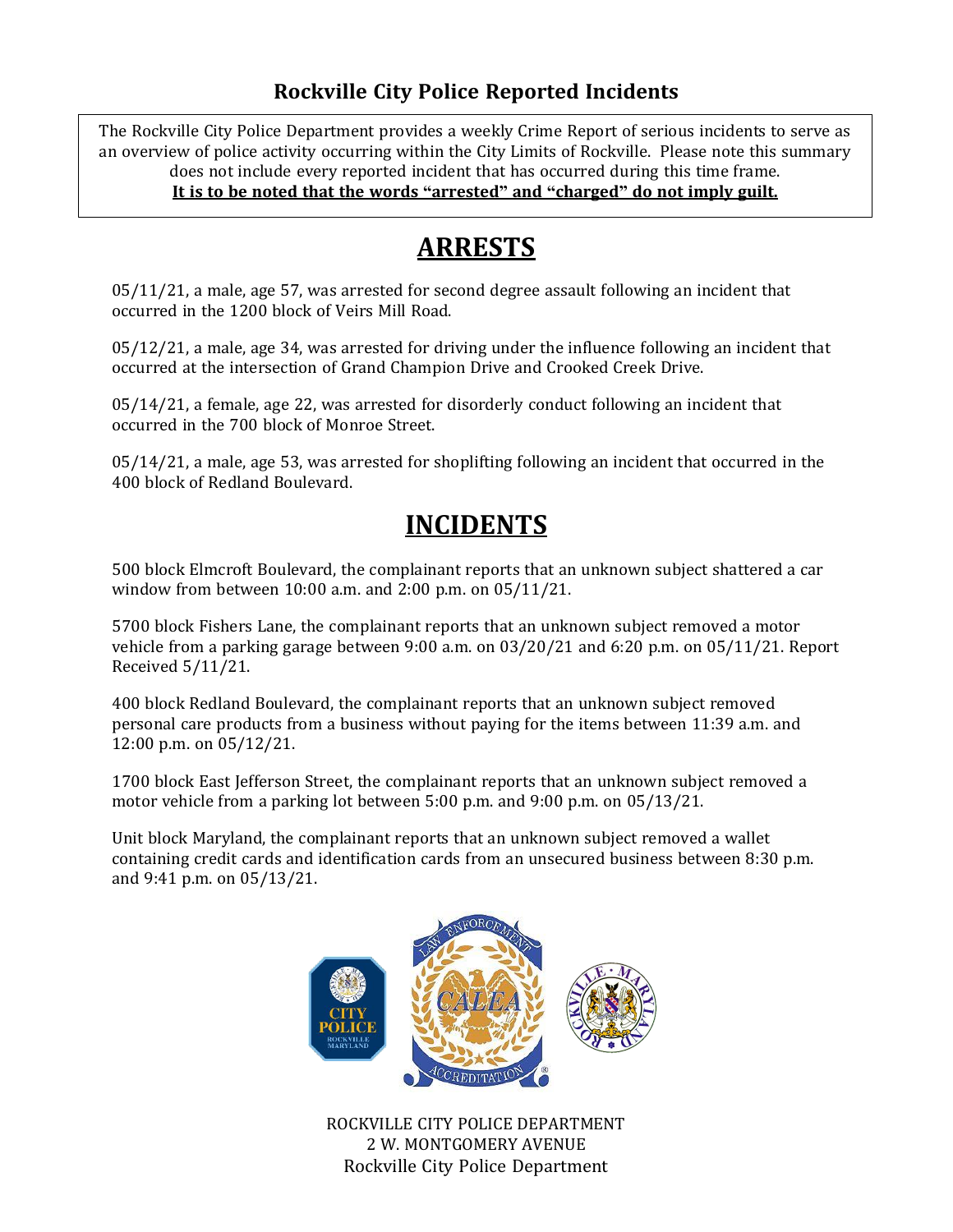### **Rockville City Police Reported Incidents**

 $\overline{a}$ The Rockville City Police Department provides a weekly Crime Report of serious incidents to serve as an overview of police activity occurring within the City Limits of Rockville. Please note this summary does not include every reported incident that has occurred during this time frame. **It is to be noted that the words "arrested" and "charged" do not imply guilt.**

## **ARRESTS**

05/11/21, a male, age 57, was arrested for second degree assault following an incident that occurred in the 1200 block of Veirs Mill Road.

05/12/21, a male, age 34, was arrested for driving under the influence following an incident that occurred at the intersection of Grand Champion Drive and Crooked Creek Drive.

05/14/21, a female, age 22, was arrested for disorderly conduct following an incident that occurred in the 700 block of Monroe Street.

05/14/21, a male, age 53, was arrested for shoplifting following an incident that occurred in the 400 block of Redland Boulevard.

# **INCIDENTS**

500 block Elmcroft Boulevard, the complainant reports that an unknown subject shattered a car window from between 10:00 a.m. and 2:00 p.m. on 05/11/21.

5700 block Fishers Lane, the complainant reports that an unknown subject removed a motor vehicle from a parking garage between 9:00 a.m. on 03/20/21 and 6:20 p.m. on 05/11/21. Report Received 5/11/21.

400 block Redland Boulevard, the complainant reports that an unknown subject removed personal care products from a business without paying for the items between 11:39 a.m. and 12:00 p.m. on 05/12/21.

1700 block East Jefferson Street, the complainant reports that an unknown subject removed a motor vehicle from a parking lot between 5:00 p.m. and 9:00 p.m. on 05/13/21.

Unit block Maryland, the complainant reports that an unknown subject removed a wallet containing credit cards and identification cards from an unsecured business between 8:30 p.m. and 9:41 p.m. on 05/13/21.



Rockville City Police Department ROCKVILLE CITY POLICE DEPARTMENT 2 W. MONTGOMERY AVENUE